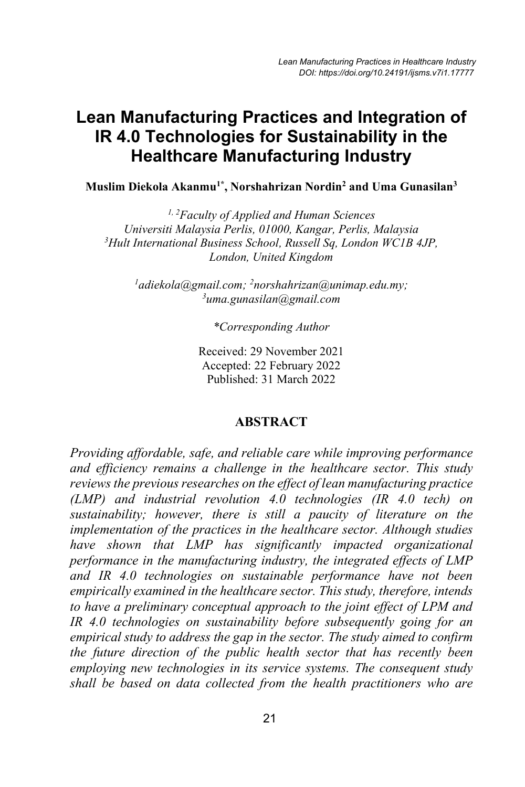# **Lean Manufacturing Practices and Integration of IR 4.0 Technologies for Sustainability in the Healthcare Manufacturing Industry**

**Muslim Diekola Akanmu1\*, Norshahrizan Nordin2 and Uma Gunasilan3**

*1, 2Faculty of Applied and Human Sciences Universiti Malaysia Perlis, 01000, Kangar, Perlis, Malaysia 3 Hult International Business School, Russell Sq, London WC1B 4JP, London, United Kingdom*

*1 adiekola@gmail.com; 2 norshahrizan@unimap.edu.my; 3 uma.gunasilan@gmail.com*

*\*Corresponding Author*

Received: 29 November 2021 Accepted: 22 February 2022 Published: 31 March 2022

#### **ABSTRACT**

*Providing affordable, safe, and reliable care while improving performance and efficiency remains a challenge in the healthcare sector. This study reviews the previous researches on the effect of lean manufacturing practice (LMP) and industrial revolution 4.0 technologies (IR 4.0 tech) on sustainability; however, there is still a paucity of literature on the implementation of the practices in the healthcare sector. Although studies have shown that LMP has significantly impacted organizational performance in the manufacturing industry, the integrated effects of LMP and IR 4.0 technologies on sustainable performance have not been empirically examined in the healthcare sector. This study, therefore, intends to have a preliminary conceptual approach to the joint effect of LPM and IR 4.0 technologies on sustainability before subsequently going for an empirical study to address the gap in the sector. The study aimed to confirm the future direction of the public health sector that has recently been employing new technologies in its service systems. The consequent study shall be based on data collected from the health practitioners who are*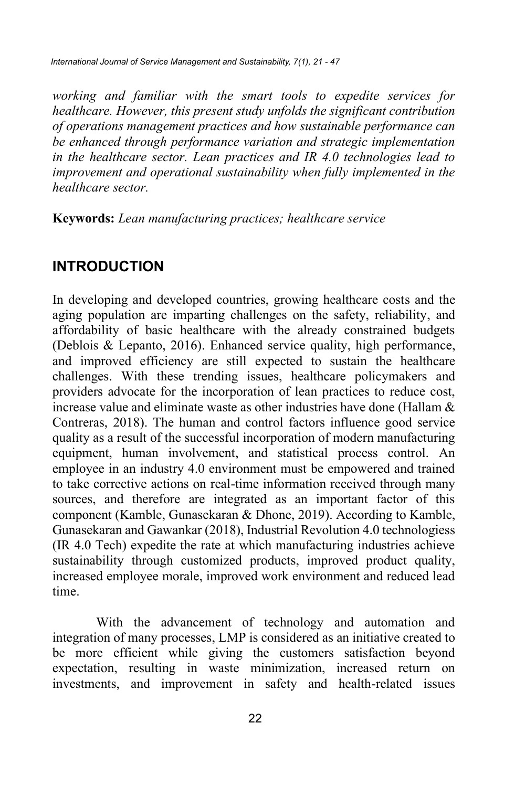*International Journal of Service Management and Sustainability, 7(1), 21 - 47*

*working and familiar with the smart tools to expedite services for healthcare. However, this present study unfolds the significant contribution of operations management practices and how sustainable performance can be enhanced through performance variation and strategic implementation in the healthcare sector. Lean practices and IR 4.0 technologies lead to improvement and operational sustainability when fully implemented in the healthcare sector.*

**Keywords:** *Lean manufacturing practices; healthcare service*

# **INTRODUCTION**

In developing and developed countries, growing healthcare costs and the aging population are imparting challenges on the safety, reliability, and affordability of basic healthcare with the already constrained budgets (Deblois & Lepanto, 2016). Enhanced service quality, high performance, and improved efficiency are still expected to sustain the healthcare challenges. With these trending issues, healthcare policymakers and providers advocate for the incorporation of lean practices to reduce cost, increase value and eliminate waste as other industries have done (Hallam  $\&$ Contreras, 2018). The human and control factors influence good service quality as a result of the successful incorporation of modern manufacturing equipment, human involvement, and statistical process control. An employee in an industry 4.0 environment must be empowered and trained to take corrective actions on real-time information received through many sources, and therefore are integrated as an important factor of this component (Kamble, Gunasekaran & Dhone, 2019). According to Kamble, Gunasekaran and Gawankar (2018), Industrial Revolution 4.0 technologiess (IR 4.0 Tech) expedite the rate at which manufacturing industries achieve sustainability through customized products, improved product quality, increased employee morale, improved work environment and reduced lead time.

With the advancement of technology and automation and integration of many processes, LMP is considered as an initiative created to be more efficient while giving the customers satisfaction beyond expectation, resulting in waste minimization, increased return on investments, and improvement in safety and health-related issues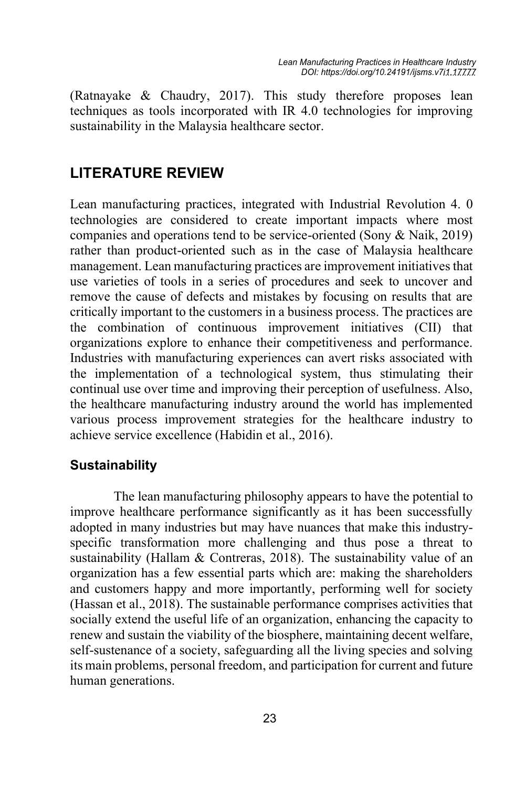(Ratnayake & Chaudry, 2017). This study therefore proposes lean techniques as tools incorporated with IR 4.0 technologies for improving sustainability in the Malaysia healthcare sector.

# **LITERATURE REVIEW**

Lean manufacturing practices, integrated with Industrial Revolution 4. 0 technologies are considered to create important impacts where most companies and operations tend to be service-oriented (Sony & Naik, 2019) rather than product-oriented such as in the case of Malaysia healthcare management. Lean manufacturing practices are improvement initiatives that use varieties of tools in a series of procedures and seek to uncover and remove the cause of defects and mistakes by focusing on results that are critically important to the customers in a business process. The practices are the combination of continuous improvement initiatives (CII) that organizations explore to enhance their competitiveness and performance. Industries with manufacturing experiences can avert risks associated with the implementation of a technological system, thus stimulating their continual use over time and improving their perception of usefulness. Also, the healthcare manufacturing industry around the world has implemented various process improvement strategies for the healthcare industry to achieve service excellence (Habidin et al., 2016).

### **Sustainability**

The lean manufacturing philosophy appears to have the potential to improve healthcare performance significantly as it has been successfully adopted in many industries but may have nuances that make this industryspecific transformation more challenging and thus pose a threat to sustainability (Hallam & Contreras, 2018). The sustainability value of an organization has a few essential parts which are: making the shareholders and customers happy and more importantly, performing well for society (Hassan et al., 2018). The sustainable performance comprises activities that socially extend the useful life of an organization, enhancing the capacity to renew and sustain the viability of the biosphere, maintaining decent welfare, self-sustenance of a society, safeguarding all the living species and solving its main problems, personal freedom, and participation for current and future human generations.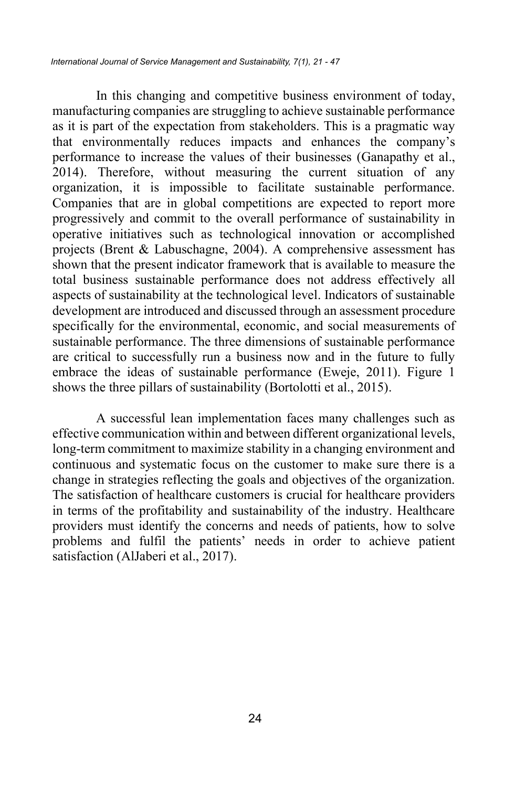In this changing and competitive business environment of today, manufacturing companies are struggling to achieve sustainable performance as it is part of the expectation from stakeholders. This is a pragmatic way that environmentally reduces impacts and enhances the company's performance to increase the values of their businesses (Ganapathy et al., 2014). Therefore, without measuring the current situation of any organization, it is impossible to facilitate sustainable performance. Companies that are in global competitions are expected to report more progressively and commit to the overall performance of sustainability in operative initiatives such as technological innovation or accomplished projects (Brent & Labuschagne, 2004). A comprehensive assessment has shown that the present indicator framework that is available to measure the total business sustainable performance does not address effectively all aspects of sustainability at the technological level. Indicators of sustainable development are introduced and discussed through an assessment procedure specifically for the environmental, economic, and social measurements of sustainable performance. The three dimensions of sustainable performance are critical to successfully run a business now and in the future to fully embrace the ideas of sustainable performance (Eweje, 2011). Figure 1 shows the three pillars of sustainability (Bortolotti et al., 2015).

A successful lean implementation faces many challenges such as effective communication within and between different organizational levels, long-term commitment to maximize stability in a changing environment and continuous and systematic focus on the customer to make sure there is a change in strategies reflecting the goals and objectives of the organization. The satisfaction of healthcare customers is crucial for healthcare providers in terms of the profitability and sustainability of the industry. Healthcare providers must identify the concerns and needs of patients, how to solve problems and fulfil the patients' needs in order to achieve patient satisfaction (AlJaberi et al., 2017).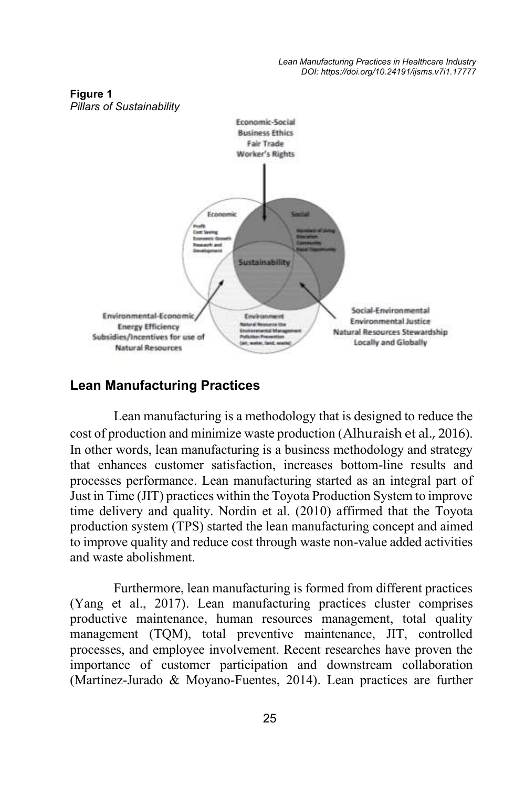

# **Figure 1**

### **Lean Manufacturing Practices**

Lean manufacturing is a methodology that is designed to reduce the cost of production and minimize waste production (Alhuraish et al., 2016). In other words, lean manufacturing is a business methodology and strategy that enhances customer satisfaction, increases bottom-line results and processes performance. Lean manufacturing started as an integral part of Just in Time (JIT) practices within the Toyota Production System to improve time delivery and quality. Nordin et al. (2010) affirmed that the Toyota production system (TPS) started the lean manufacturing concept and aimed to improve quality and reduce cost through waste non-value added activities and waste abolishment.

Furthermore, lean manufacturing is formed from different practices (Yang et al., 2017). Lean manufacturing practices cluster comprises productive maintenance, human resources management, total quality management (TQM), total preventive maintenance, JIT, controlled processes, and employee involvement. Recent researches have proven the importance of customer participation and downstream collaboration (Martínez-Jurado & Moyano-Fuentes, 2014). Lean practices are further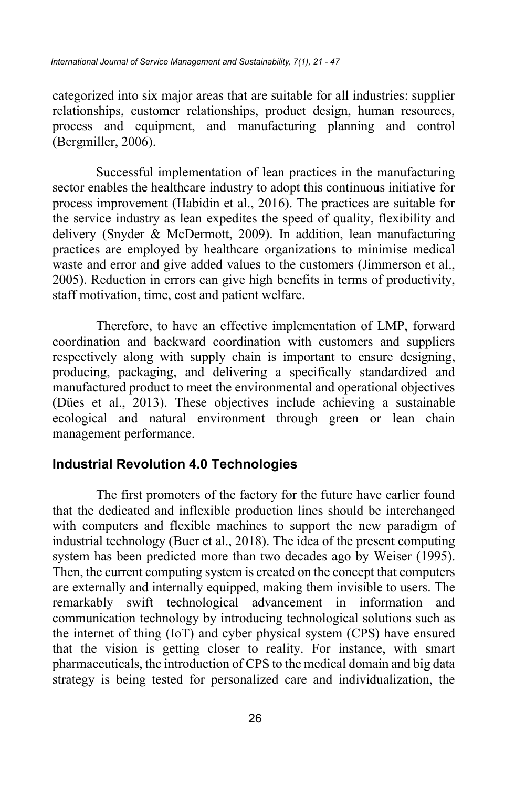categorized into six major areas that are suitable for all industries: supplier relationships, customer relationships, product design, human resources, process and equipment, and manufacturing planning and control (Bergmiller, 2006).

Successful implementation of lean practices in the manufacturing sector enables the healthcare industry to adopt this continuous initiative for process improvement (Habidin et al., 2016). The practices are suitable for the service industry as lean expedites the speed of quality, flexibility and delivery (Snyder & McDermott, 2009). In addition, lean manufacturing practices are employed by healthcare organizations to minimise medical waste and error and give added values to the customers (Jimmerson et al., 2005). Reduction in errors can give high benefits in terms of productivity, staff motivation, time, cost and patient welfare.

Therefore, to have an effective implementation of LMP, forward coordination and backward coordination with customers and suppliers respectively along with supply chain is important to ensure designing, producing, packaging, and delivering a specifically standardized and manufactured product to meet the environmental and operational objectives (Dües et al., 2013). These objectives include achieving a sustainable ecological and natural environment through green or lean chain management performance.

#### **Industrial Revolution 4.0 Technologies**

The first promoters of the factory for the future have earlier found that the dedicated and inflexible production lines should be interchanged with computers and flexible machines to support the new paradigm of industrial technology (Buer et al., 2018). The idea of the present computing system has been predicted more than two decades ago by Weiser (1995). Then, the current computing system is created on the concept that computers are externally and internally equipped, making them invisible to users. The remarkably swift technological advancement in information and communication technology by introducing technological solutions such as the internet of thing (IoT) and cyber physical system (CPS) have ensured that the vision is getting closer to reality. For instance, with smart pharmaceuticals, the introduction of CPS to the medical domain and big data strategy is being tested for personalized care and individualization, the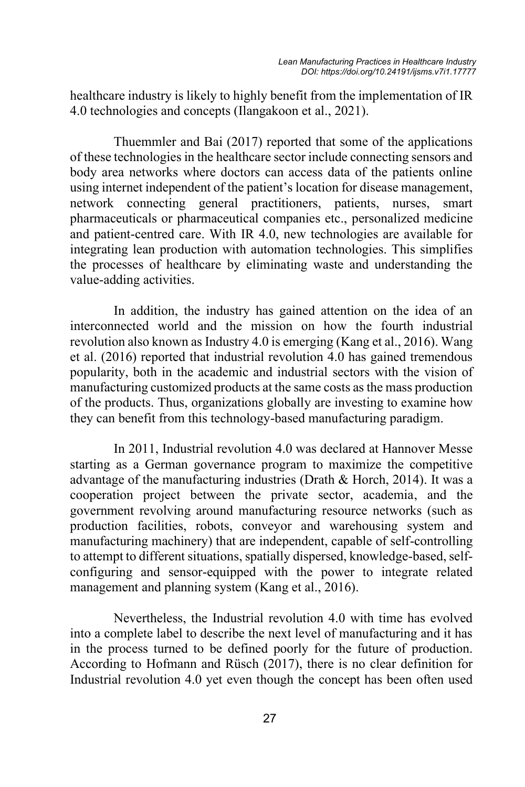healthcare industry is likely to highly benefit from the implementation of IR 4.0 technologies and concepts (Ilangakoon et al., 2021).

Thuemmler and Bai (2017) reported that some of the applications of these technologies in the healthcare sector include connecting sensors and body area networks where doctors can access data of the patients online using internet independent of the patient's location for disease management, network connecting general practitioners, patients, nurses, smart pharmaceuticals or pharmaceutical companies etc., personalized medicine and patient-centred care. With IR 4.0, new technologies are available for integrating lean production with automation technologies. This simplifies the processes of healthcare by eliminating waste and understanding the value-adding activities.

In addition, the industry has gained attention on the idea of an interconnected world and the mission on how the fourth industrial revolution also known as Industry 4.0 is emerging (Kang et al., 2016). Wang et al. (2016) reported that industrial revolution 4.0 has gained tremendous popularity, both in the academic and industrial sectors with the vision of manufacturing customized products at the same costs as the mass production of the products. Thus, organizations globally are investing to examine how they can benefit from this technology-based manufacturing paradigm.

In 2011, Industrial revolution 4.0 was declared at Hannover Messe starting as a German governance program to maximize the competitive advantage of the manufacturing industries (Drath & Horch, 2014). It was a cooperation project between the private sector, academia, and the government revolving around manufacturing resource networks (such as production facilities, robots, conveyor and warehousing system and manufacturing machinery) that are independent, capable of self-controlling to attempt to different situations, spatially dispersed, knowledge-based, selfconfiguring and sensor-equipped with the power to integrate related management and planning system (Kang et al., 2016).

Nevertheless, the Industrial revolution 4.0 with time has evolved into a complete label to describe the next level of manufacturing and it has in the process turned to be defined poorly for the future of production. According to Hofmann and Rüsch (2017), there is no clear definition for Industrial revolution 4.0 yet even though the concept has been often used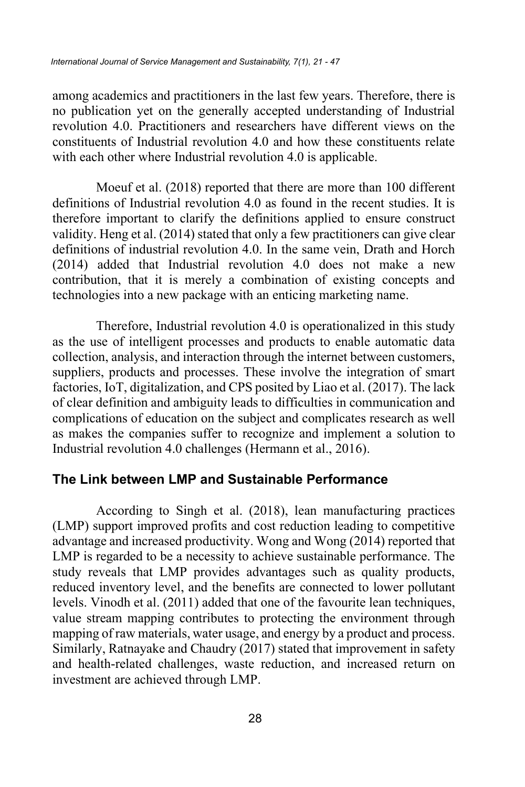among academics and practitioners in the last few years. Therefore, there is no publication yet on the generally accepted understanding of Industrial revolution 4.0. Practitioners and researchers have different views on the constituents of Industrial revolution 4.0 and how these constituents relate with each other where Industrial revolution 4.0 is applicable.

Moeuf et al. (2018) reported that there are more than 100 different definitions of Industrial revolution 4.0 as found in the recent studies. It is therefore important to clarify the definitions applied to ensure construct validity. Heng et al. (2014) stated that only a few practitioners can give clear definitions of industrial revolution 4.0. In the same vein, Drath and Horch (2014) added that Industrial revolution 4.0 does not make a new contribution, that it is merely a combination of existing concepts and technologies into a new package with an enticing marketing name.

Therefore, Industrial revolution 4.0 is operationalized in this study as the use of intelligent processes and products to enable automatic data collection, analysis, and interaction through the internet between customers, suppliers, products and processes. These involve the integration of smart factories, IoT, digitalization, and CPS posited by Liao et al. (2017). The lack of clear definition and ambiguity leads to difficulties in communication and complications of education on the subject and complicates research as well as makes the companies suffer to recognize and implement a solution to Industrial revolution 4.0 challenges (Hermann et al., 2016).

#### **The Link between LMP and Sustainable Performance**

According to Singh et al. (2018), lean manufacturing practices (LMP) support improved profits and cost reduction leading to competitive advantage and increased productivity. Wong and Wong (2014) reported that LMP is regarded to be a necessity to achieve sustainable performance. The study reveals that LMP provides advantages such as quality products, reduced inventory level, and the benefits are connected to lower pollutant levels. Vinodh et al. (2011) added that one of the favourite lean techniques, value stream mapping contributes to protecting the environment through mapping of raw materials, water usage, and energy by a product and process. Similarly, Ratnayake and Chaudry (2017) stated that improvement in safety and health-related challenges, waste reduction, and increased return on investment are achieved through LMP.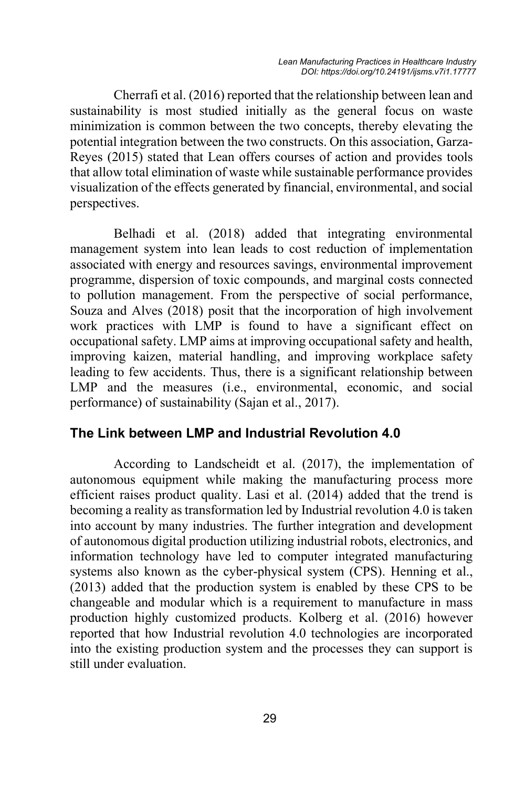Cherrafi et al. (2016) reported that the relationship between lean and sustainability is most studied initially as the general focus on waste minimization is common between the two concepts, thereby elevating the potential integration between the two constructs. On this association, Garza-Reyes (2015) stated that Lean offers courses of action and provides tools that allow total elimination of waste while sustainable performance provides visualization of the effects generated by financial, environmental, and social perspectives.

Belhadi et al. (2018) added that integrating environmental management system into lean leads to cost reduction of implementation associated with energy and resources savings, environmental improvement programme, dispersion of toxic compounds, and marginal costs connected to pollution management. From the perspective of social performance, Souza and Alves (2018) posit that the incorporation of high involvement work practices with LMP is found to have a significant effect on occupational safety. LMP aims at improving occupational safety and health, improving kaizen, material handling, and improving workplace safety leading to few accidents. Thus, there is a significant relationship between LMP and the measures (i.e., environmental, economic, and social performance) of sustainability (Sajan et al., 2017).

### **The Link between LMP and Industrial Revolution 4.0**

According to Landscheidt et al. (2017), the implementation of autonomous equipment while making the manufacturing process more efficient raises product quality. Lasi et al. (2014) added that the trend is becoming a reality as transformation led by Industrial revolution 4.0 is taken into account by many industries. The further integration and development of autonomous digital production utilizing industrial robots, electronics, and information technology have led to computer integrated manufacturing systems also known as the cyber-physical system (CPS). Henning et al., (2013) added that the production system is enabled by these CPS to be changeable and modular which is a requirement to manufacture in mass production highly customized products. Kolberg et al. (2016) however reported that how Industrial revolution 4.0 technologies are incorporated into the existing production system and the processes they can support is still under evaluation.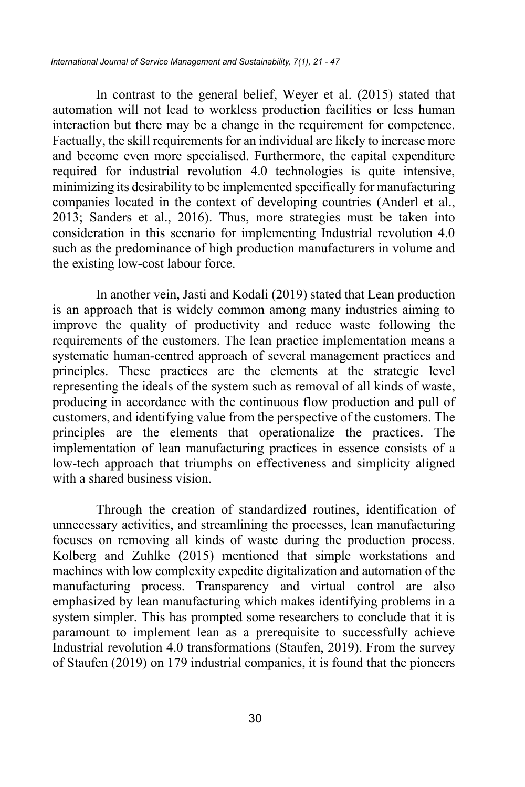In contrast to the general belief, Weyer et al. (2015) stated that automation will not lead to workless production facilities or less human interaction but there may be a change in the requirement for competence. Factually, the skill requirements for an individual are likely to increase more and become even more specialised. Furthermore, the capital expenditure required for industrial revolution 4.0 technologies is quite intensive, minimizing its desirability to be implemented specifically for manufacturing companies located in the context of developing countries (Anderl et al., 2013; Sanders et al., 2016). Thus, more strategies must be taken into consideration in this scenario for implementing Industrial revolution 4.0 such as the predominance of high production manufacturers in volume and the existing low-cost labour force.

In another vein, Jasti and Kodali (2019) stated that Lean production is an approach that is widely common among many industries aiming to improve the quality of productivity and reduce waste following the requirements of the customers. The lean practice implementation means a systematic human-centred approach of several management practices and principles. These practices are the elements at the strategic level representing the ideals of the system such as removal of all kinds of waste, producing in accordance with the continuous flow production and pull of customers, and identifying value from the perspective of the customers. The principles are the elements that operationalize the practices. The implementation of lean manufacturing practices in essence consists of a low-tech approach that triumphs on effectiveness and simplicity aligned with a shared business vision.

Through the creation of standardized routines, identification of unnecessary activities, and streamlining the processes, lean manufacturing focuses on removing all kinds of waste during the production process. Kolberg and Zuhlke (2015) mentioned that simple workstations and machines with low complexity expedite digitalization and automation of the manufacturing process. Transparency and virtual control are also emphasized by lean manufacturing which makes identifying problems in a system simpler. This has prompted some researchers to conclude that it is paramount to implement lean as a prerequisite to successfully achieve Industrial revolution 4.0 transformations (Staufen, 2019). From the survey of Staufen (2019) on 179 industrial companies, it is found that the pioneers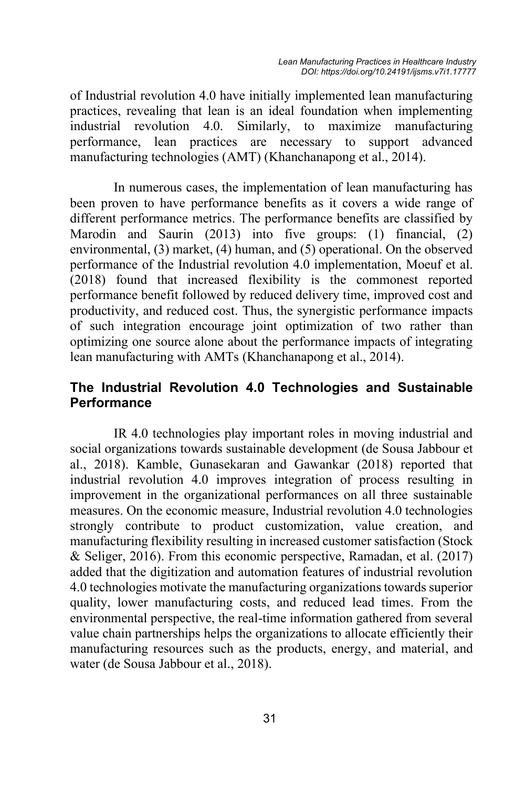of Industrial revolution 4.0 have initially implemented lean manufacturing practices, revealing that lean is an ideal foundation when implementing industrial revolution 4.0. Similarly, to maximize manufacturing performance, lean practices are necessary to support advanced manufacturing technologies (AMT) (Khanchanapong et al., 2014).

In numerous cases, the implementation of lean manufacturing has been proven to have performance benefits as it covers a wide range of different performance metrics. The performance benefits are classified by Marodin and Saurin (2013) into five groups: (1) financial, (2) environmental, (3) market, (4) human, and (5) operational. On the observed performance of the Industrial revolution 4.0 implementation, Moeuf et al. (2018) found that increased flexibility is the commonest reported performance benefit followed by reduced delivery time, improved cost and productivity, and reduced cost. Thus, the synergistic performance impacts of such integration encourage joint optimization of two rather than optimizing one source alone about the performance impacts of integrating lean manufacturing with AMTs (Khanchanapong et al., 2014).

### **The Industrial Revolution 4.0 Technologies and Sustainable Performance**

IR 4.0 technologies play important roles in moving industrial and social organizations towards sustainable development (de Sousa Jabbour et al., 2018). Kamble, Gunasekaran and Gawankar (2018) reported that industrial revolution 4.0 improves integration of process resulting in improvement in the organizational performances on all three sustainable measures. On the economic measure, Industrial revolution 4.0 technologies strongly contribute to product customization, value creation, and manufacturing flexibility resulting in increased customer satisfaction (Stock & Seliger, 2016). From this economic perspective, Ramadan, et al. (2017) added that the digitization and automation features of industrial revolution 4.0 technologies motivate the manufacturing organizations towards superior quality, lower manufacturing costs, and reduced lead times. From the environmental perspective, the real-time information gathered from several value chain partnerships helps the organizations to allocate efficiently their manufacturing resources such as the products, energy, and material, and water (de Sousa Jabbour et al., 2018).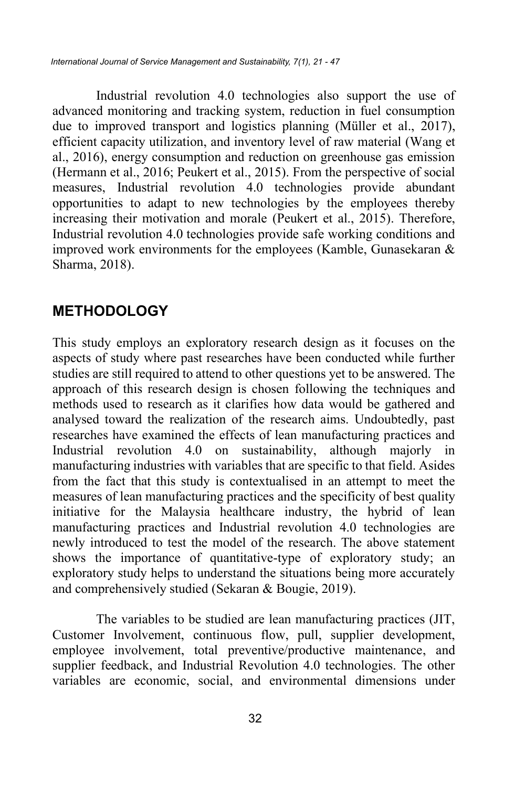Industrial revolution 4.0 technologies also support the use of advanced monitoring and tracking system, reduction in fuel consumption due to improved transport and logistics planning (Müller et al., 2017), efficient capacity utilization, and inventory level of raw material (Wang et al., 2016), energy consumption and reduction on greenhouse gas emission (Hermann et al., 2016; Peukert et al., 2015). From the perspective of social measures, Industrial revolution 4.0 technologies provide abundant opportunities to adapt to new technologies by the employees thereby increasing their motivation and morale (Peukert et al., 2015). Therefore, Industrial revolution 4.0 technologies provide safe working conditions and improved work environments for the employees (Kamble, Gunasekaran & Sharma, 2018).

# **METHODOLOGY**

This study employs an exploratory research design as it focuses on the aspects of study where past researches have been conducted while further studies are still required to attend to other questions yet to be answered. The approach of this research design is chosen following the techniques and methods used to research as it clarifies how data would be gathered and analysed toward the realization of the research aims. Undoubtedly, past researches have examined the effects of lean manufacturing practices and Industrial revolution 4.0 on sustainability, although majorly in manufacturing industries with variables that are specific to that field. Asides from the fact that this study is contextualised in an attempt to meet the measures of lean manufacturing practices and the specificity of best quality initiative for the Malaysia healthcare industry, the hybrid of lean manufacturing practices and Industrial revolution 4.0 technologies are newly introduced to test the model of the research. The above statement shows the importance of quantitative-type of exploratory study; an exploratory study helps to understand the situations being more accurately and comprehensively studied (Sekaran & Bougie, 2019).

The variables to be studied are lean manufacturing practices (JIT, Customer Involvement, continuous flow, pull, supplier development, employee involvement, total preventive/productive maintenance, and supplier feedback, and Industrial Revolution 4.0 technologies. The other variables are economic, social, and environmental dimensions under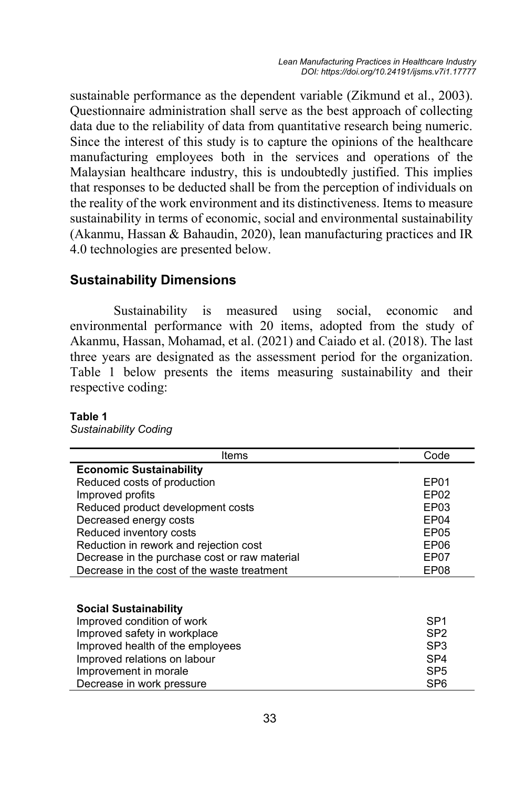sustainable performance as the dependent variable (Zikmund et al., 2003). Questionnaire administration shall serve as the best approach of collecting data due to the reliability of data from quantitative research being numeric. Since the interest of this study is to capture the opinions of the healthcare manufacturing employees both in the services and operations of the Malaysian healthcare industry, this is undoubtedly justified. This implies that responses to be deducted shall be from the perception of individuals on the reality of the work environment and its distinctiveness. Items to measure sustainability in terms of economic, social and environmental sustainability (Akanmu, Hassan & Bahaudin, 2020), lean manufacturing practices and IR 4.0 technologies are presented below.

### **Sustainability Dimensions**

Sustainability is measured using social, economic and environmental performance with 20 items, adopted from the study of Akanmu, Hassan, Mohamad, et al. (2021) and Caiado et al. (2018). The last three years are designated as the assessment period for the organization. Table 1 below presents the items measuring sustainability and their respective coding:

#### **Table 1**

*Sustainability Coding*

| Items                                         | Code             |
|-----------------------------------------------|------------------|
| <b>Economic Sustainability</b>                |                  |
| Reduced costs of production                   | EP01             |
| Improved profits                              | EP <sub>02</sub> |
| Reduced product development costs             | EP03             |
| Decreased energy costs                        | EP04             |
| Reduced inventory costs                       | EP <sub>05</sub> |
| Reduction in rework and rejection cost        | EP <sub>06</sub> |
| Decrease in the purchase cost or raw material | EP07             |
| Decrease in the cost of the waste treatment   | EP08             |
|                                               |                  |
|                                               |                  |
| <b>Social Sustainability</b>                  |                  |
| Improved condition of work                    | SP <sub>1</sub>  |
| Improved safety in workplace                  | SP <sub>2</sub>  |
| Improved health of the employees              | SP <sub>3</sub>  |
| Improved relations on labour                  | SP <sub>4</sub>  |
| Improvement in morale                         | SP <sub>5</sub>  |
| Decrease in work pressure                     | SP <sub>6</sub>  |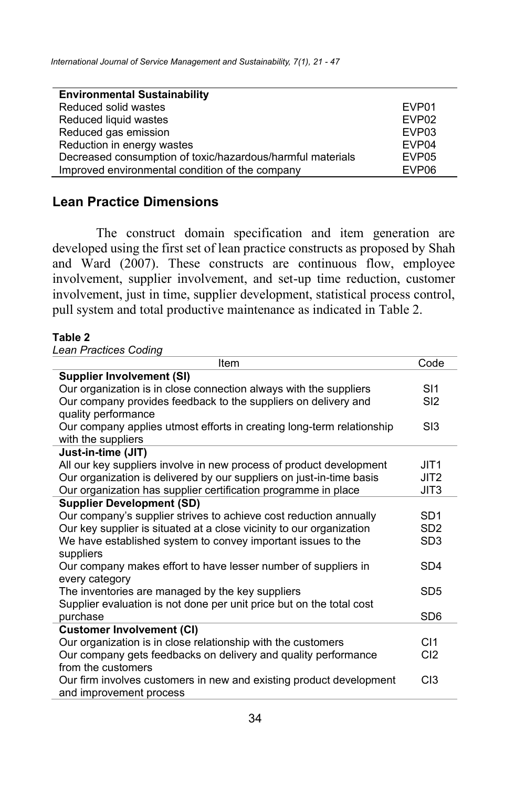| <b>Environmental Sustainability</b>                        |                   |
|------------------------------------------------------------|-------------------|
| Reduced solid wastes                                       | EVP01             |
| Reduced liquid wastes                                      | EVP <sub>02</sub> |
| Reduced gas emission                                       | EVP03             |
| Reduction in energy wastes                                 | EVP04             |
| Decreased consumption of toxic/hazardous/harmful materials | EVP <sub>05</sub> |
| Improved environmental condition of the company            | EVP <sub>06</sub> |

### **Lean Practice Dimensions**

The construct domain specification and item generation are developed using the first set of lean practice constructs as proposed by Shah and Ward (2007). These constructs are continuous flow, employee involvement, supplier involvement, and set-up time reduction, customer involvement, just in time, supplier development, statistical process control, pull system and total productive maintenance as indicated in Table 2.

#### **Table 2**

*Lean Practices Coding*

| Item                                                                  | Code             |
|-----------------------------------------------------------------------|------------------|
| <b>Supplier Involvement (SI)</b>                                      |                  |
| Our organization is in close connection always with the suppliers     | SI1              |
| Our company provides feedback to the suppliers on delivery and        | S <sub>12</sub>  |
| quality performance                                                   |                  |
| Our company applies utmost efforts in creating long-term relationship | S13              |
| with the suppliers                                                    |                  |
| Just-in-time (JIT)                                                    |                  |
| All our key suppliers involve in new process of product development   | JIT <sub>1</sub> |
| Our organization is delivered by our suppliers on just-in-time basis  | JIT <sub>2</sub> |
| Our organization has supplier certification programme in place        | JIT3             |
| <b>Supplier Development (SD)</b>                                      |                  |
| Our company's supplier strives to achieve cost reduction annually     | SD <sub>1</sub>  |
| Our key supplier is situated at a close vicinity to our organization  | SD <sub>2</sub>  |
| We have established system to convey important issues to the          | SD <sub>3</sub>  |
| suppliers                                                             |                  |
| Our company makes effort to have lesser number of suppliers in        | SD <sub>4</sub>  |
| every category                                                        |                  |
| The inventories are managed by the key suppliers                      | SD <sub>5</sub>  |
| Supplier evaluation is not done per unit price but on the total cost  |                  |
| purchase                                                              | SD <sub>6</sub>  |
| <b>Customer Involvement (CI)</b>                                      |                  |
| Our organization is in close relationship with the customers          | C <sub>11</sub>  |
| Our company gets feedbacks on delivery and quality performance        | C <sub>12</sub>  |
| from the customers                                                    |                  |
| Our firm involves customers in new and existing product development   | C13              |
| and improvement process                                               |                  |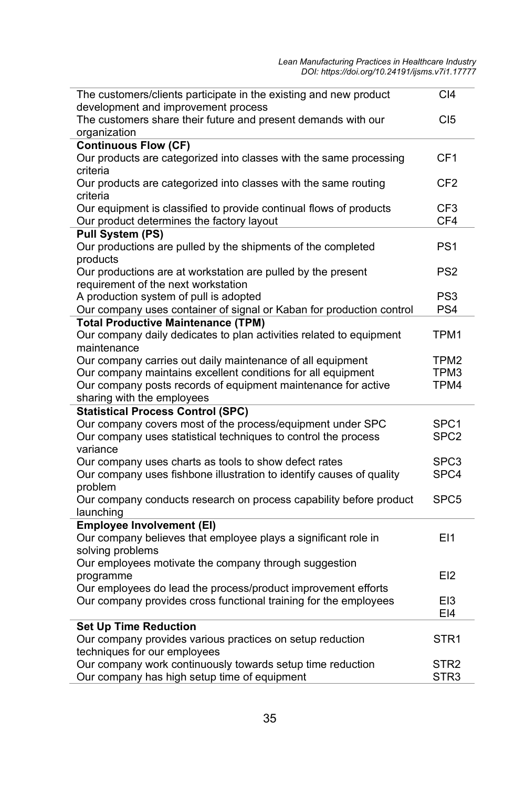| The customers/clients participate in the existing and new product                                                            | C <sub>14</sub>          |
|------------------------------------------------------------------------------------------------------------------------------|--------------------------|
| development and improvement process<br>The customers share their future and present demands with our                         | C <sub>I5</sub>          |
| organization                                                                                                                 |                          |
| <b>Continuous Flow (CF)</b>                                                                                                  |                          |
| Our products are categorized into classes with the same processing                                                           | CF <sub>1</sub>          |
| criteria                                                                                                                     |                          |
| Our products are categorized into classes with the same routing                                                              | CF <sub>2</sub>          |
| criteria<br>Our equipment is classified to provide continual flows of products                                               | CF <sub>3</sub>          |
| Our product determines the factory layout                                                                                    | CF4                      |
| <b>Pull System (PS)</b>                                                                                                      |                          |
| Our productions are pulled by the shipments of the completed                                                                 | PS <sub>1</sub>          |
| products                                                                                                                     |                          |
| Our productions are at workstation are pulled by the present                                                                 | PS <sub>2</sub>          |
| requirement of the next workstation                                                                                          |                          |
| A production system of pull is adopted                                                                                       | PS <sub>3</sub>          |
| Our company uses container of signal or Kaban for production control<br><b>Total Productive Maintenance (TPM)</b>            | PS4                      |
| Our company daily dedicates to plan activities related to equipment                                                          | TPM1                     |
| maintenance                                                                                                                  |                          |
| Our company carries out daily maintenance of all equipment                                                                   | TPM <sub>2</sub>         |
| Our company maintains excellent conditions for all equipment                                                                 | TPM3                     |
| Our company posts records of equipment maintenance for active                                                                | TPM4                     |
| sharing with the employees                                                                                                   |                          |
| <b>Statistical Process Control (SPC)</b>                                                                                     |                          |
| Our company covers most of the process/equipment under SPC<br>Our company uses statistical techniques to control the process | SPC1<br>SPC <sub>2</sub> |
| variance                                                                                                                     |                          |
| Our company uses charts as tools to show defect rates                                                                        | SPC3                     |
| Our company uses fishbone illustration to identify causes of quality                                                         | SPC4                     |
| problem                                                                                                                      |                          |
| Our company conducts research on process capability before product                                                           | SPC <sub>5</sub>         |
| launching                                                                                                                    |                          |
| <b>Employee Involvement (EI)</b><br>Our company believes that employee plays a significant role in                           | E11                      |
| solving problems                                                                                                             |                          |
| Our employees motivate the company through suggestion                                                                        |                          |
| programme                                                                                                                    | E12                      |
| Our employees do lead the process/product improvement efforts                                                                |                          |
| Our company provides cross functional training for the employees                                                             | E <sub>13</sub>          |
|                                                                                                                              | EI4                      |
| <b>Set Up Time Reduction</b><br>Our company provides various practices on setup reduction                                    | STR <sub>1</sub>         |
| techniques for our employees                                                                                                 |                          |
| Our company work continuously towards setup time reduction                                                                   | STR <sub>2</sub>         |
| Our company has high setup time of equipment                                                                                 | STR <sub>3</sub>         |
|                                                                                                                              |                          |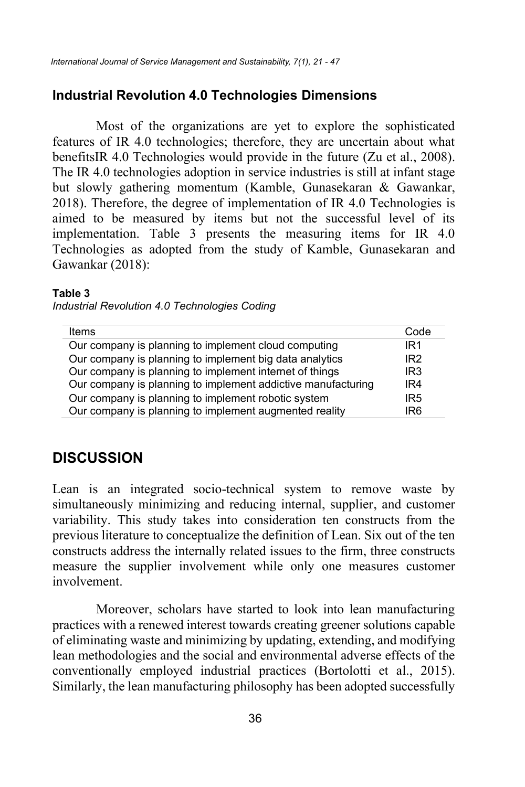#### **Industrial Revolution 4.0 Technologies Dimensions**

Most of the organizations are yet to explore the sophisticated features of IR 4.0 technologies; therefore, they are uncertain about what benefitsIR 4.0 Technologies would provide in the future (Zu et al., 2008). The IR 4.0 technologies adoption in service industries is still at infant stage but slowly gathering momentum (Kamble, Gunasekaran & Gawankar, 2018). Therefore, the degree of implementation of IR 4.0 Technologies is aimed to be measured by items but not the successful level of its implementation. Table 3 presents the measuring items for IR 4.0 Technologies as adopted from the study of Kamble, Gunasekaran and Gawankar (2018):

#### **Table 3**

| Industrial Revolution 4.0 Technologies Coding |  |  |
|-----------------------------------------------|--|--|
|-----------------------------------------------|--|--|

| Items                                                        | Code            |
|--------------------------------------------------------------|-----------------|
| Our company is planning to implement cloud computing         | IR <sub>1</sub> |
| Our company is planning to implement big data analytics      | IR <sub>2</sub> |
| Our company is planning to implement internet of things      | IR <sub>3</sub> |
| Our company is planning to implement addictive manufacturing | IR4             |
| Our company is planning to implement robotic system          | IR <sub>5</sub> |
| Our company is planning to implement augmented reality       | IR <sub>6</sub> |

### **DISCUSSION**

Lean is an integrated socio-technical system to remove waste by simultaneously minimizing and reducing internal, supplier, and customer variability. This study takes into consideration ten constructs from the previous literature to conceptualize the definition of Lean. Six out of the ten constructs address the internally related issues to the firm, three constructs measure the supplier involvement while only one measures customer involvement.

Moreover, scholars have started to look into lean manufacturing practices with a renewed interest towards creating greener solutions capable of eliminating waste and minimizing by updating, extending, and modifying lean methodologies and the social and environmental adverse effects of the conventionally employed industrial practices (Bortolotti et al., 2015). Similarly, the lean manufacturing philosophy has been adopted successfully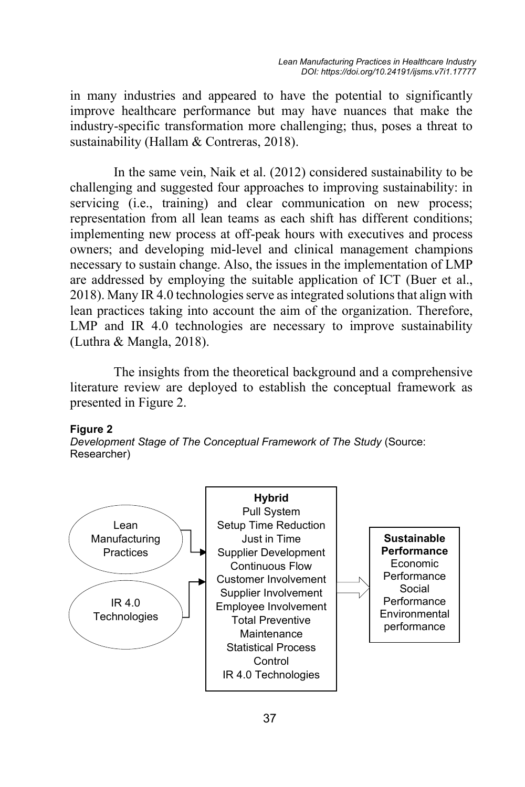in many industries and appeared to have the potential to significantly improve healthcare performance but may have nuances that make the industry-specific transformation more challenging; thus, poses a threat to sustainability (Hallam & Contreras, 2018).

In the same vein, Naik et al. (2012) considered sustainability to be challenging and suggested four approaches to improving sustainability: in servicing (i.e., training) and clear communication on new process; representation from all lean teams as each shift has different conditions; implementing new process at off-peak hours with executives and process owners; and developing mid-level and clinical management champions necessary to sustain change. Also, the issues in the implementation of LMP are addressed by employing the suitable application of ICT (Buer et al., 2018). Many IR 4.0 technologies serve as integrated solutions that align with lean practices taking into account the aim of the organization. Therefore, LMP and IR 4.0 technologies are necessary to improve sustainability (Luthra & Mangla, 2018).

The insights from the theoretical background and a comprehensive literature review are deployed to establish the conceptual framework as presented in Figure 2.

#### **Figure 2**

*Development Stage of The Conceptual Framework of The Study* (Source: Researcher)

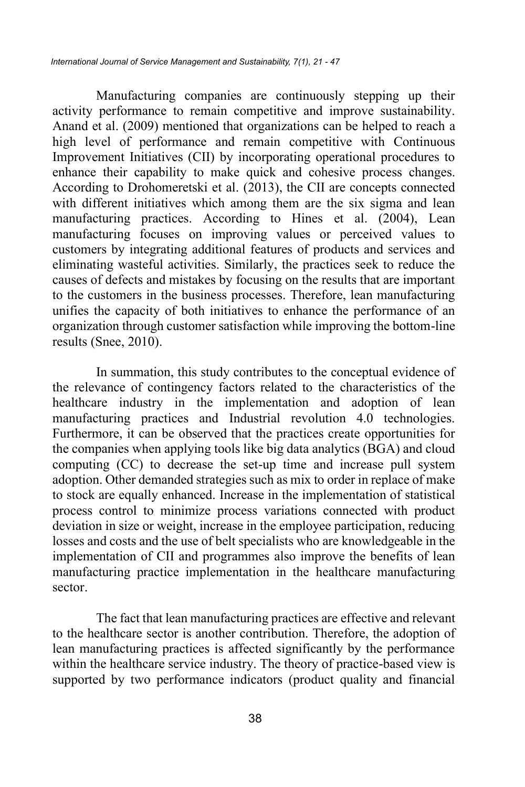Manufacturing companies are continuously stepping up their activity performance to remain competitive and improve sustainability. Anand et al. (2009) mentioned that organizations can be helped to reach a high level of performance and remain competitive with Continuous Improvement Initiatives (CII) by incorporating operational procedures to enhance their capability to make quick and cohesive process changes. According to Drohomeretski et al. (2013), the CII are concepts connected with different initiatives which among them are the six sigma and lean manufacturing practices. According to Hines et al. (2004), Lean manufacturing focuses on improving values or perceived values to customers by integrating additional features of products and services and eliminating wasteful activities. Similarly, the practices seek to reduce the causes of defects and mistakes by focusing on the results that are important to the customers in the business processes. Therefore, lean manufacturing unifies the capacity of both initiatives to enhance the performance of an organization through customer satisfaction while improving the bottom-line results (Snee, 2010).

In summation, this study contributes to the conceptual evidence of the relevance of contingency factors related to the characteristics of the healthcare industry in the implementation and adoption of lean manufacturing practices and Industrial revolution 4.0 technologies. Furthermore, it can be observed that the practices create opportunities for the companies when applying tools like big data analytics (BGA) and cloud computing (CC) to decrease the set-up time and increase pull system adoption. Other demanded strategies such as mix to order in replace of make to stock are equally enhanced. Increase in the implementation of statistical process control to minimize process variations connected with product deviation in size or weight, increase in the employee participation, reducing losses and costs and the use of belt specialists who are knowledgeable in the implementation of CII and programmes also improve the benefits of lean manufacturing practice implementation in the healthcare manufacturing sector.

The fact that lean manufacturing practices are effective and relevant to the healthcare sector is another contribution. Therefore, the adoption of lean manufacturing practices is affected significantly by the performance within the healthcare service industry. The theory of practice-based view is supported by two performance indicators (product quality and financial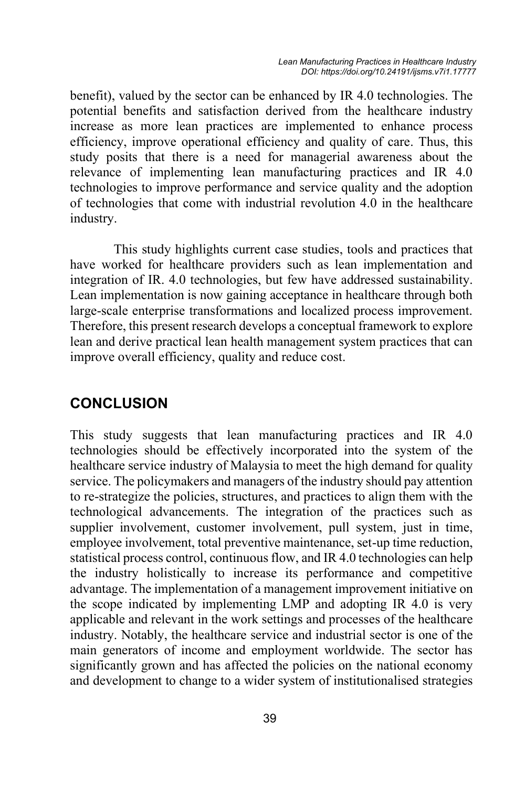benefit), valued by the sector can be enhanced by IR 4.0 technologies. The potential benefits and satisfaction derived from the healthcare industry increase as more lean practices are implemented to enhance process efficiency, improve operational efficiency and quality of care. Thus, this study posits that there is a need for managerial awareness about the relevance of implementing lean manufacturing practices and IR 4.0 technologies to improve performance and service quality and the adoption of technologies that come with industrial revolution 4.0 in the healthcare industry.

This study highlights current case studies, tools and practices that have worked for healthcare providers such as lean implementation and integration of IR. 4.0 technologies, but few have addressed sustainability. Lean implementation is now gaining acceptance in healthcare through both large-scale enterprise transformations and localized process improvement. Therefore, this present research develops a conceptual framework to explore lean and derive practical lean health management system practices that can improve overall efficiency, quality and reduce cost.

# **CONCLUSION**

This study suggests that lean manufacturing practices and IR 4.0 technologies should be effectively incorporated into the system of the healthcare service industry of Malaysia to meet the high demand for quality service. The policymakers and managers of the industry should pay attention to re-strategize the policies, structures, and practices to align them with the technological advancements. The integration of the practices such as supplier involvement, customer involvement, pull system, just in time, employee involvement, total preventive maintenance, set-up time reduction, statistical process control, continuous flow, and IR 4.0 technologies can help the industry holistically to increase its performance and competitive advantage. The implementation of a management improvement initiative on the scope indicated by implementing LMP and adopting IR 4.0 is very applicable and relevant in the work settings and processes of the healthcare industry. Notably, the healthcare service and industrial sector is one of the main generators of income and employment worldwide. The sector has significantly grown and has affected the policies on the national economy and development to change to a wider system of institutionalised strategies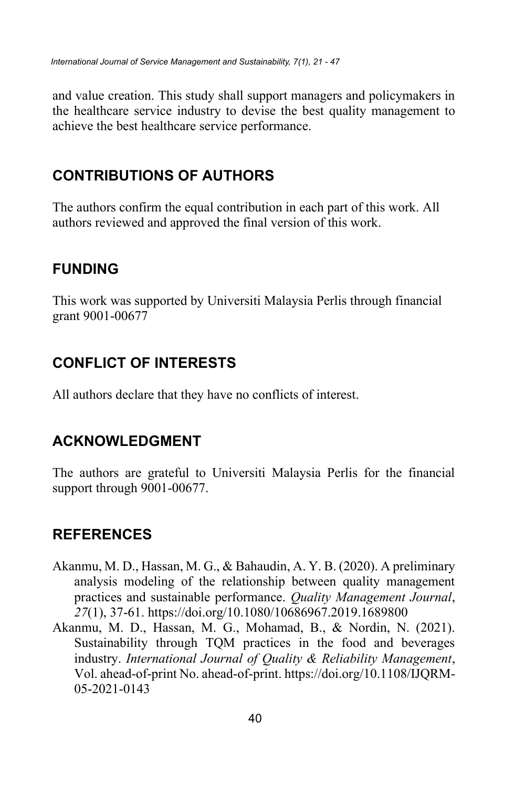and value creation. This study shall support managers and policymakers in the healthcare service industry to devise the best quality management to achieve the best healthcare service performance.

# **CONTRIBUTIONS OF AUTHORS**

The authors confirm the equal contribution in each part of this work. All authors reviewed and approved the final version of this work.

# **FUNDING**

This work was supported by Universiti Malaysia Perlis through financial grant 9001-00677

# **CONFLICT OF INTERESTS**

All authors declare that they have no conflicts of interest.

# **ACKNOWLEDGMENT**

The authors are grateful to Universiti Malaysia Perlis for the financial support through 9001-00677.

# **REFERENCES**

- Akanmu, M. D., Hassan, M. G., & Bahaudin, A. Y. B. (2020). A preliminary analysis modeling of the relationship between quality management practices and sustainable performance. *Quality Management Journal*, *27*(1), 37-61. https://doi.org/10.1080/10686967.2019.1689800
- Akanmu, M. D., Hassan, M. G., Mohamad, B., & Nordin, N. (2021). Sustainability through TQM practices in the food and beverages industry. *International Journal of Quality & Reliability Management*, Vol. ahead-of-print No. ahead-of-print. https://doi.org/10.1108/IJQRM-05-2021-0143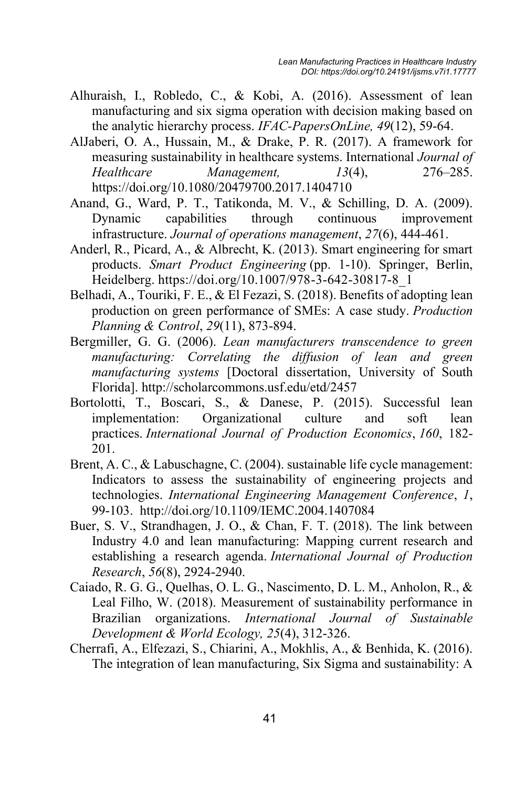- Alhuraish, I., Robledo, C., & Kobi, A. (2016). Assessment of lean manufacturing and six sigma operation with decision making based on the analytic hierarchy process. *IFAC-PapersOnLine, 49*(12), 59-64.
- AlJaberi, O. A., Hussain, M., & Drake, P. R. (2017). A framework for measuring sustainability in healthcare systems. International *Journal of Healthcare Management, 13*(4), 276–285. https://doi.org/10.1080/20479700.2017.1404710
- Anand, G., Ward, P. T., Tatikonda, M. V., & Schilling, D. A. (2009). Dynamic capabilities through continuous improvement infrastructure. *Journal of operations management*, *27*(6), 444-461.
- Anderl, R., Picard, A., & Albrecht, K. (2013). Smart engineering for smart products. *Smart Product Engineering* (pp. 1-10). Springer, Berlin, Heidelberg. https://doi.org/10.1007/978-3-642-30817-8\_1
- Belhadi, A., Touriki, F. E., & El Fezazi, S. (2018). Benefits of adopting lean production on green performance of SMEs: A case study. *Production Planning & Control*, *29*(11), 873-894.
- Bergmiller, G. G. (2006). *Lean manufacturers transcendence to green manufacturing: Correlating the diffusion of lean and green manufacturing systems* [Doctoral dissertation, University of South Florida]. http://scholarcommons.usf.edu/etd/2457
- Bortolotti, T., Boscari, S., & Danese, P. (2015). Successful lean implementation: Organizational culture and soft lean practices. *International Journal of Production Economics*, *160*, 182- 201.
- Brent, A. C., & Labuschagne, C. (2004). sustainable life cycle management: Indicators to assess the sustainability of engineering projects and technologies. *International Engineering Management Conference*, *1*, 99-103. http://doi.org/10.1109/IEMC.2004.1407084
- Buer, S. V., Strandhagen, J. O., & Chan, F. T. (2018). The link between Industry 4.0 and lean manufacturing: Mapping current research and establishing a research agenda. *International Journal of Production Research*, *56*(8), 2924-2940.
- Caiado, R. G. G., Quelhas, O. L. G., Nascimento, D. L. M., Anholon, R., & Leal Filho, W. (2018). Measurement of sustainability performance in Brazilian organizations. *International Journal of Sustainable Development & World Ecology, 25*(4), 312-326.
- Cherrafi, A., Elfezazi, S., Chiarini, A., Mokhlis, A., & Benhida, K. (2016). The integration of lean manufacturing, Six Sigma and sustainability: A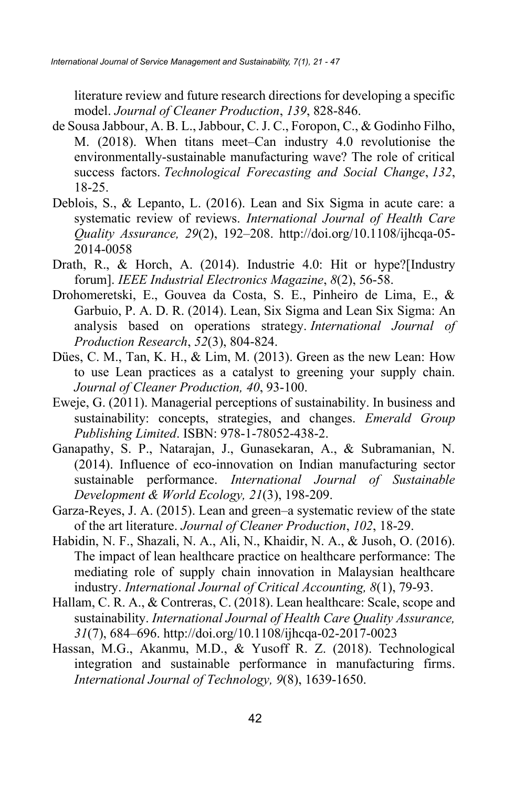literature review and future research directions for developing a specific model. *Journal of Cleaner Production*, *139*, 828-846.

- de Sousa Jabbour, A. B. L., Jabbour, C. J. C., Foropon, C., & Godinho Filho, M. (2018). When titans meet–Can industry 4.0 revolutionise the environmentally-sustainable manufacturing wave? The role of critical success factors. *Technological Forecasting and Social Change*, *132*, 18-25.
- Deblois, S., & Lepanto, L. (2016). Lean and Six Sigma in acute care: a systematic review of reviews. *International Journal of Health Care Quality Assurance, 29*(2), 192–208. http://doi.org/10.1108/ijhcqa-05- 2014-0058
- Drath, R., & Horch, A. (2014). Industrie 4.0: Hit or hype?[Industry forum]. *IEEE Industrial Electronics Magazine*, *8*(2), 56-58.
- Drohomeretski, E., Gouvea da Costa, S. E., Pinheiro de Lima, E., & Garbuio, P. A. D. R. (2014). Lean, Six Sigma and Lean Six Sigma: An analysis based on operations strategy. *International Journal of Production Research*, *52*(3), 804-824.
- Dües, C. M., Tan, K. H., & Lim, M. (2013). Green as the new Lean: How to use Lean practices as a catalyst to greening your supply chain. *Journal of Cleaner Production, 40*, 93-100.
- Eweje, G. (2011). Managerial perceptions of sustainability. In business and sustainability: concepts, strategies, and changes. *Emerald Group Publishing Limited*. ISBN: 978-1-78052-438-2.
- Ganapathy, S. P., Natarajan, J., Gunasekaran, A., & Subramanian, N. (2014). Influence of eco-innovation on Indian manufacturing sector sustainable performance. *International Journal of Sustainable Development & World Ecology, 21*(3), 198-209.
- Garza-Reyes, J. A. (2015). Lean and green–a systematic review of the state of the art literature. *Journal of Cleaner Production*, *102*, 18-29.
- Habidin, N. F., Shazali, N. A., Ali, N., Khaidir, N. A., & Jusoh, O. (2016). The impact of lean healthcare practice on healthcare performance: The mediating role of supply chain innovation in Malaysian healthcare industry. *International Journal of Critical Accounting, 8*(1), 79-93.
- Hallam, C. R. A., & Contreras, C. (2018). Lean healthcare: Scale, scope and sustainability. *International Journal of Health Care Quality Assurance, 31*(7), 684–696. http://doi.org/10.1108/ijhcqa-02-2017-0023
- Hassan, M.G., Akanmu, M.D., & Yusoff R. Z. (2018). Technological integration and sustainable performance in manufacturing firms. *International Journal of Technology, 9*(8), 1639-1650.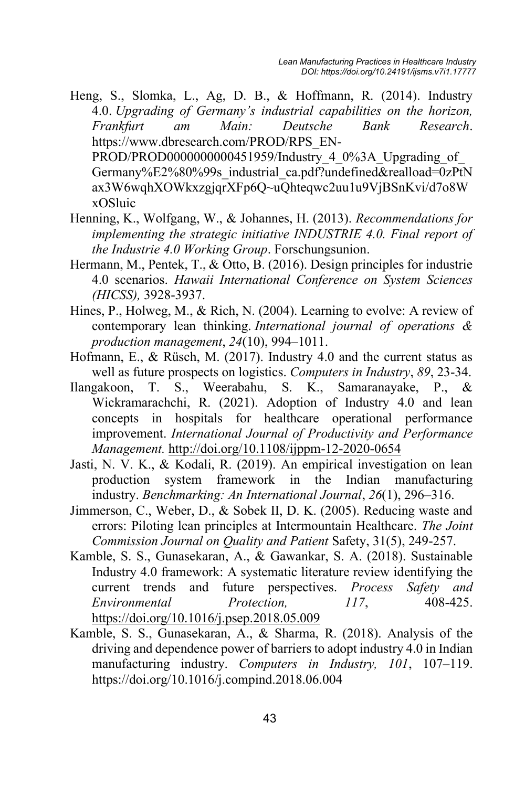Heng, S., Slomka, L., Ag, D. B., & Hoffmann, R. (2014). Industry 4.0. *Upgrading of Germany's industrial capabilities on the horizon, Frankfurt am Main: Deutsche Bank Research*. https://www.dbresearch.com/PROD/RPS\_EN-PROD/PROD000000000451959/Industry 4\_0%3A\_Upgrading\_of Germany%E2%80%99s\_industrial\_ca.pdf?undefined&realload=0zPtN ax3W6wqhXOWkxzgjqrXFp6Q~uQhteqwc2uu1u9VjBSnKvi/d7o8W

xOSluic

- Henning, K., Wolfgang, W., & Johannes, H. (2013). *Recommendations for implementing the strategic initiative INDUSTRIE 4.0. Final report of the Industrie 4.0 Working Group*. Forschungsunion.
- Hermann, M., Pentek, T., & Otto, B. (2016). Design principles for industrie 4.0 scenarios. *Hawaii International Conference on System Sciences (HICSS),* 3928-3937.
- Hines, P., Holweg, M., & Rich, N. (2004). Learning to evolve: A review of contemporary lean thinking. *International journal of operations & production management*, *24*(10), 994–1011.
- Hofmann, E., & Rüsch, M. (2017). Industry 4.0 and the current status as well as future prospects on logistics. *Computers in Industry*, *89*, 23-34.
- Ilangakoon, T. S., Weerabahu, S. K., Samaranayake, P., & Wickramarachchi, R. (2021). Adoption of Industry 4.0 and lean concepts in hospitals for healthcare operational performance improvement. *International Journal of Productivity and Performance Management.* http://doi.org/10.1108/ijppm-12-2020-0654
- Jasti, N. V. K., & Kodali, R. (2019). An empirical investigation on lean production system framework in the Indian manufacturing industry. *Benchmarking: An International Journal*, *26*(1), 296–316.
- Jimmerson, C., Weber, D., & Sobek II, D. K. (2005). Reducing waste and errors: Piloting lean principles at Intermountain Healthcare. *The Joint Commission Journal on Quality and Patient* Safety, 31(5), 249-257.
- Kamble, S. S., Gunasekaran, A., & Gawankar, S. A. (2018). Sustainable Industry 4.0 framework: A systematic literature review identifying the current trends and future perspectives. *Process Safety and Environmental Protection, 117*, 408-425. https://doi.org/10.1016/j.psep.2018.05.009
- Kamble, S. S., Gunasekaran, A., & Sharma, R. (2018). Analysis of the driving and dependence power of barriers to adopt industry 4.0 in Indian manufacturing industry. *Computers in Industry, 101*, 107–119. https://doi.org/10.1016/j.compind.2018.06.004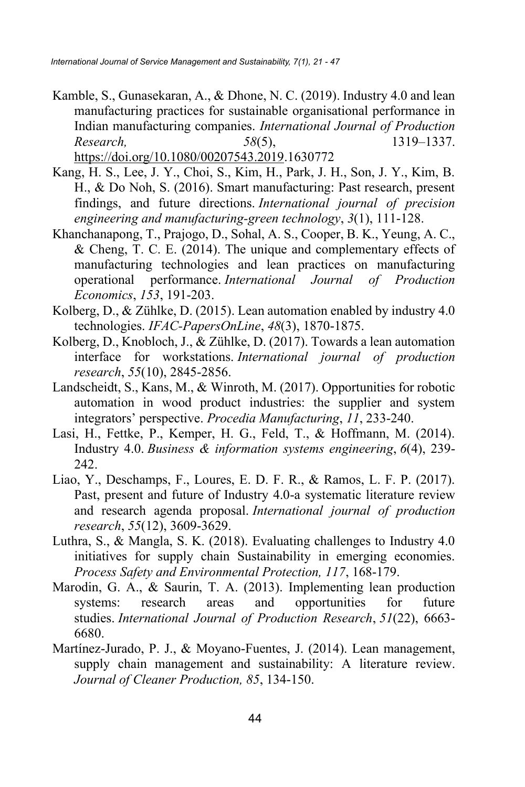- Kamble, S., Gunasekaran, A., & Dhone, N. C. (2019). Industry 4.0 and lean manufacturing practices for sustainable organisational performance in Indian manufacturing companies. *International Journal of Production Research, 58*(5), 1319–1337. https://doi.org/10.1080/00207543.2019.1630772
- Kang, H. S., Lee, J. Y., Choi, S., Kim, H., Park, J. H., Son, J. Y., Kim, B. H., & Do Noh, S. (2016). Smart manufacturing: Past research, present findings, and future directions. *International journal of precision engineering and manufacturing-green technology*, *3*(1), 111-128.
- Khanchanapong, T., Prajogo, D., Sohal, A. S., Cooper, B. K., Yeung, A. C., & Cheng, T. C. E. (2014). The unique and complementary effects of manufacturing technologies and lean practices on manufacturing operational performance. *International Journal of Production Economics*, *153*, 191-203.
- Kolberg, D., & Zühlke, D. (2015). Lean automation enabled by industry 4.0 technologies. *IFAC-PapersOnLine*, *48*(3), 1870-1875.
- Kolberg, D., Knobloch, J., & Zühlke, D. (2017). Towards a lean automation interface for workstations. *International journal of production research*, *55*(10), 2845-2856.
- Landscheidt, S., Kans, M., & Winroth, M. (2017). Opportunities for robotic automation in wood product industries: the supplier and system integrators' perspective. *Procedia Manufacturing*, *11*, 233-240.
- Lasi, H., Fettke, P., Kemper, H. G., Feld, T., & Hoffmann, M. (2014). Industry 4.0. *Business & information systems engineering*, *6*(4), 239- 242.
- Liao, Y., Deschamps, F., Loures, E. D. F. R., & Ramos, L. F. P. (2017). Past, present and future of Industry 4.0-a systematic literature review and research agenda proposal. *International journal of production research*, *55*(12), 3609-3629.
- Luthra, S., & Mangla, S. K. (2018). Evaluating challenges to Industry 4.0 initiatives for supply chain Sustainability in emerging economies. *Process Safety and Environmental Protection, 117*, 168-179.
- Marodin, G. A., & Saurin, T. A. (2013). Implementing lean production systems: research areas and opportunities for future studies. *International Journal of Production Research*, *51*(22), 6663- 6680.
- Martínez-Jurado, P. J., & Moyano-Fuentes, J. (2014). Lean management, supply chain management and sustainability: A literature review. *Journal of Cleaner Production, 85*, 134-150.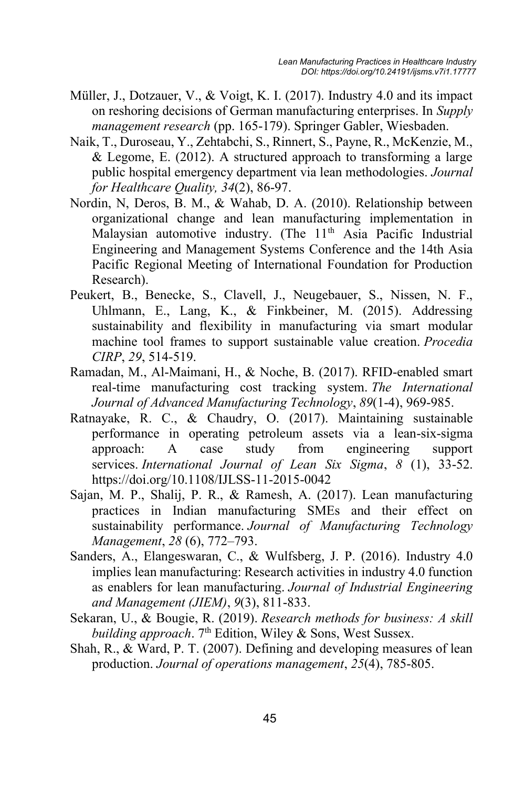- Müller, J., Dotzauer, V., & Voigt, K. I. (2017). Industry 4.0 and its impact on reshoring decisions of German manufacturing enterprises. In *Supply management research* (pp. 165-179). Springer Gabler, Wiesbaden.
- Naik, T., Duroseau, Y., Zehtabchi, S., Rinnert, S., Payne, R., McKenzie, M., & Legome, E. (2012). A structured approach to transforming a large public hospital emergency department via lean methodologies. *Journal for Healthcare Quality, 34*(2), 86-97.
- Nordin, N, Deros, B. M., & Wahab, D. A. (2010). Relationship between organizational change and lean manufacturing implementation in Malaysian automotive industry. (The  $11<sup>th</sup>$  Asia Pacific Industrial Engineering and Management Systems Conference and the 14th Asia Pacific Regional Meeting of International Foundation for Production Research).
- Peukert, B., Benecke, S., Clavell, J., Neugebauer, S., Nissen, N. F., Uhlmann, E., Lang, K., & Finkbeiner, M. (2015). Addressing sustainability and flexibility in manufacturing via smart modular machine tool frames to support sustainable value creation. *Procedia CIRP*, *29*, 514-519.
- Ramadan, M., Al-Maimani, H., & Noche, B. (2017). RFID-enabled smart real-time manufacturing cost tracking system. *The International Journal of Advanced Manufacturing Technology*, *89*(1-4), 969-985.
- Ratnayake, R. C., & Chaudry, O. (2017). Maintaining sustainable performance in operating petroleum assets via a lean-six-sigma approach: A case study from engineering support services. *International Journal of Lean Six Sigma*, *8* (1), 33-52. https://doi.org/10.1108/IJLSS-11-2015-0042
- Sajan, M. P., Shalij, P. R., & Ramesh, A. (2017). Lean manufacturing practices in Indian manufacturing SMEs and their effect on sustainability performance. *Journal of Manufacturing Technology Management*, *28* (6), 772–793.
- Sanders, A., Elangeswaran, C., & Wulfsberg, J. P. (2016). Industry 4.0 implies lean manufacturing: Research activities in industry 4.0 function as enablers for lean manufacturing. *Journal of Industrial Engineering and Management (JIEM)*, *9*(3), 811-833.
- Sekaran, U., & Bougie, R. (2019). *Research methods for business: A skill building approach.* 7<sup>th</sup> Edition, Wiley & Sons, West Sussex.
- Shah, R., & Ward, P. T. (2007). Defining and developing measures of lean production. *Journal of operations management*, *25*(4), 785-805.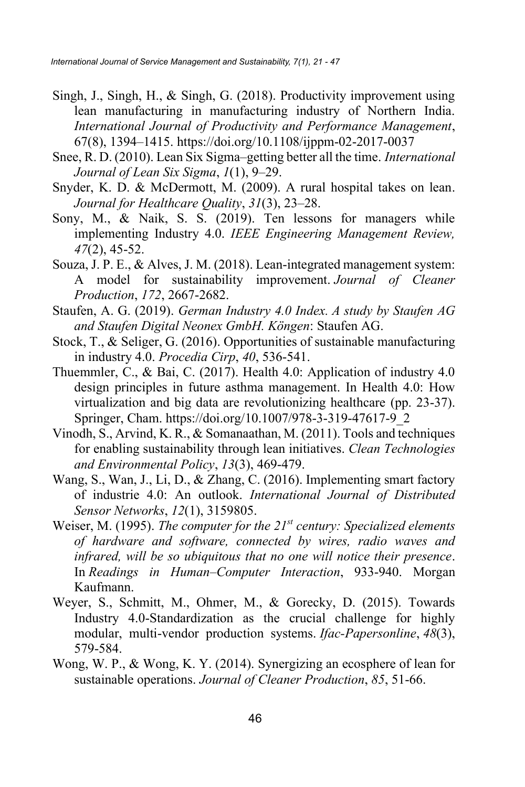- Singh, J., Singh, H., & Singh, G. (2018). Productivity improvement using lean manufacturing in manufacturing industry of Northern India. *International Journal of Productivity and Performance Management*, 67(8), 1394–1415. https://doi.org/10.1108/ijppm-02-2017-0037
- Snee, R. D. (2010). Lean Six Sigma–getting better all the time. *International Journal of Lean Six Sigma*, *1*(1), 9–29.
- Snyder, K. D. & McDermott, M. (2009). A rural hospital takes on lean. *Journal for Healthcare Quality*, *31*(3), 23–28.
- Sony, M., & Naik, S. S. (2019). Ten lessons for managers while implementing Industry 4.0. *IEEE Engineering Management Review, 47*(2), 45-52.
- Souza, J. P. E., & Alves, J. M. (2018). Lean-integrated management system: A model for sustainability improvement. *Journal of Cleaner Production*, *172*, 2667-2682.
- Staufen, A. G. (2019). *German Industry 4.0 Index. A study by Staufen AG and Staufen Digital Neonex GmbH. Köngen*: Staufen AG.
- Stock, T., & Seliger, G. (2016). Opportunities of sustainable manufacturing in industry 4.0. *Procedia Cirp*, *40*, 536-541.
- Thuemmler, C., & Bai, C. (2017). Health 4.0: Application of industry 4.0 design principles in future asthma management. In Health 4.0: How virtualization and big data are revolutionizing healthcare (pp. 23-37). Springer, Cham. https://doi.org/10.1007/978-3-319-47617-9\_2
- Vinodh, S., Arvind, K. R., & Somanaathan, M. (2011). Tools and techniques for enabling sustainability through lean initiatives. *Clean Technologies and Environmental Policy*, *13*(3), 469-479.
- Wang, S., Wan, J., Li, D., & Zhang, C. (2016). Implementing smart factory of industrie 4.0: An outlook. *International Journal of Distributed Sensor Networks*, *12*(1), 3159805.
- Weiser, M. (1995). *The computer for the 21st century: Specialized elements of hardware and software, connected by wires, radio waves and infrared, will be so ubiquitous that no one will notice their presence*. In *Readings in Human–Computer Interaction*, 933-940. Morgan Kaufmann.
- Weyer, S., Schmitt, M., Ohmer, M., & Gorecky, D. (2015). Towards Industry 4.0-Standardization as the crucial challenge for highly modular, multi-vendor production systems. *Ifac-Papersonline*, *48*(3), 579-584.
- Wong, W. P., & Wong, K. Y. (2014). Synergizing an ecosphere of lean for sustainable operations. *Journal of Cleaner Production*, *85*, 51-66.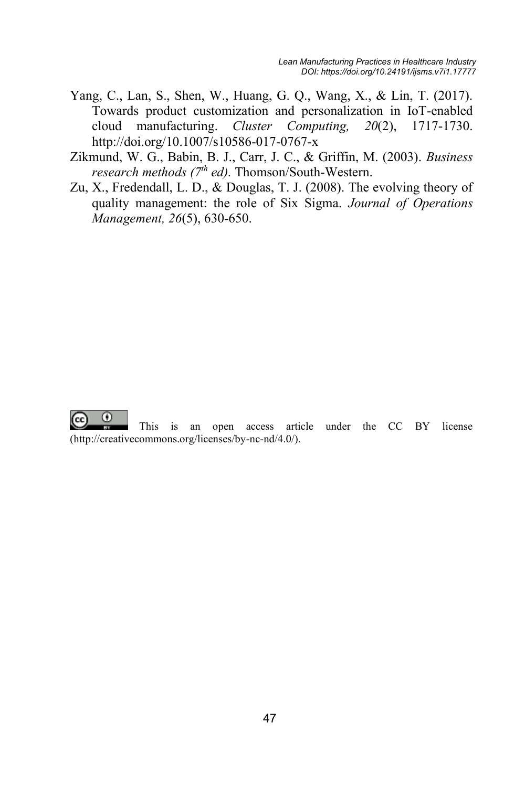- Yang, C., Lan, S., Shen, W., Huang, G. Q., Wang, X., & Lin, T. (2017). Towards product customization and personalization in IoT-enabled cloud manufacturing. *Cluster Computing, 20*(2), 1717-1730. http://doi.org/10.1007/s10586-017-0767-x
- Zikmund, W. G., Babin, B. J., Carr, J. C., & Griffin, M. (2003). *Business research methods (7<sup>th</sup> ed)*. Thomson/South-Western.
- Zu, X., Fredendall, L. D., & Douglas, T. J. (2008). The evolving theory of quality management: the role of Six Sigma. *Journal of Operations Management, 26*(5), 630-650.



This is an open access article under the CC BY license (http://creativecommons.org/licenses/by-nc-nd/4.0/).